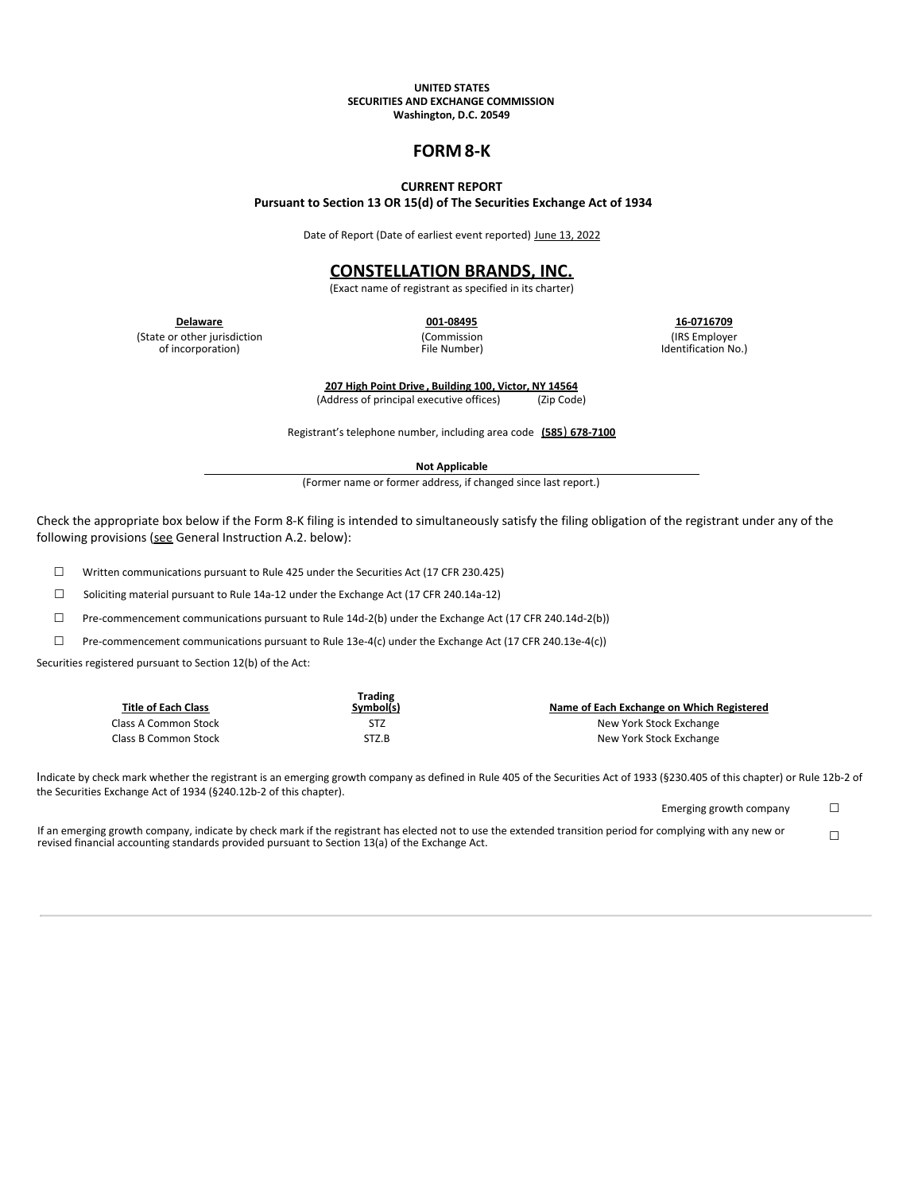#### **UNITED STATES SECURITIES AND EXCHANGE COMMISSION Washington, D.C. 20549**

# **FORM 8-K**

### **CURRENT REPORT**

**Pursuant to Section 13 OR 15(d) of The Securities Exchange Act of 1934**

Date of Report (Date of earliest event reported) June 13, 2022

## **CONSTELLATION BRANDS, INC.**

(Exact name of registrant as specified in its charter)

(State or other jurisdiction of incorporation)

(Commission File Number)

**Delaware 001-08495 16-0716709** (IRS Employer

Identification No.)

**207 High Point Drive , Building 100, Victor, NY 14564** (Address of principal executive offices) (Zip Code)

Registrant's telephone number, including area code **(585**) **678-7100**

**Not Applicable**

(Former name or former address, if changed since last report.)

Check the appropriate box below if the Form 8-K filing is intended to simultaneously satisfy the filing obligation of the registrant under any of the following provisions (see General Instruction A.2. below):

☐ Written communications pursuant to Rule 425 under the Securities Act (17 CFR 230.425)

☐ Soliciting material pursuant to Rule 14a-12 under the Exchange Act (17 CFR 240.14a-12)

☐ Pre-commencement communications pursuant to Rule 14d-2(b) under the Exchange Act (17 CFR 240.14d-2(b))

☐ Pre-commencement communications pursuant to Rule 13e-4(c) under the Exchange Act (17 CFR 240.13e-4(c))

Securities registered pursuant to Section 12(b) of the Act:

| <b>Title of Each Class</b> | <b>Trading</b><br>Symbol(s) | Name of Each Exchange on Which Registered |
|----------------------------|-----------------------------|-------------------------------------------|
| Class A Common Stock       | STZ                         | New York Stock Exchange                   |
| Class B Common Stock       | STZ.B                       | New York Stock Exchange                   |

Indicate by check mark whether the registrant is an emerging growth company as defined in Rule 405 of the Securities Act of 1933 (§230.405 of this chapter) or Rule 12b-2 of the Securities Exchange Act of 1934 (§240.12b-2 of this chapter).

Emerging growth company  $\Box$ 

If an emerging growth company, indicate by check mark if the registrant has elected not to use the extended transition period for complying with any new or It an emerging growth company, indicate by check mark it the registrant has elected not to use the extended transition period for complying with any new or  $\Box$ <br>revised financial accounting standards provided pursuant to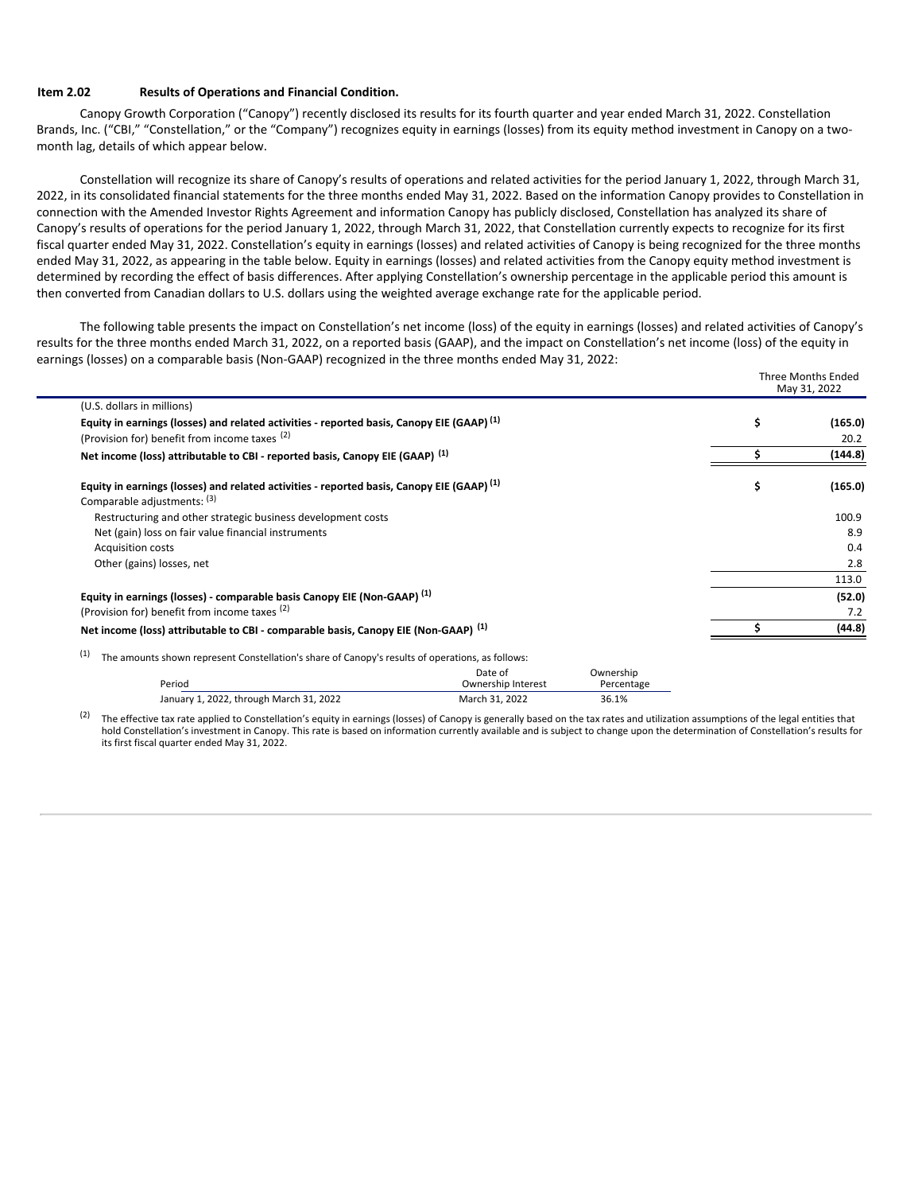### **Item 2.02 Results of Operations and Financial Condition.**

Canopy Growth Corporation ("Canopy") recently disclosed its results for its fourth quarter and year ended March 31, 2022. Constellation Brands, Inc. ("CBI," "Constellation," or the "Company") recognizes equity in earnings (losses) from its equity method investment in Canopy on a twomonth lag, details of which appear below.

Constellation will recognize its share of Canopy's results of operations and related activities for the period January 1, 2022, through March 31, 2022, in its consolidated financial statements for the three months ended May 31, 2022. Based on the information Canopy provides to Constellation in connection with the Amended Investor Rights Agreement and information Canopy has publicly disclosed, Constellation has analyzed its share of Canopy's results of operations for the period January 1, 2022, through March 31, 2022, that Constellation currently expects to recognize for its first fiscal quarter ended May 31, 2022. Constellation's equity in earnings (losses) and related activities of Canopy is being recognized for the three months ended May 31, 2022, as appearing in the table below. Equity in earnings (losses) and related activities from the Canopy equity method investment is determined by recording the effect of basis differences. After applying Constellation's ownership percentage in the applicable period this amount is then converted from Canadian dollars to U.S. dollars using the weighted average exchange rate for the applicable period.

The following table presents the impact on Constellation's net income (loss) of the equity in earnings (losses) and related activities of Canopy's results for the three months ended March 31, 2022, on a reported basis (GAAP), and the impact on Constellation's net income (loss) of the equity in earnings (losses) on a comparable basis (Non-GAAP) recognized in the three months ended May 31, 2022:

|                                                                                                       | <b>Three Months Ended</b><br>May 31, 2022 |         |
|-------------------------------------------------------------------------------------------------------|-------------------------------------------|---------|
| (U.S. dollars in millions)                                                                            |                                           |         |
| Equity in earnings (losses) and related activities - reported basis, Canopy EIE (GAAP) <sup>(1)</sup> | \$                                        | (165.0) |
| (Provision for) benefit from income taxes (2)                                                         |                                           | 20.2    |
| Net income (loss) attributable to CBI - reported basis, Canopy EIE (GAAP) <sup>(1)</sup>              |                                           | (144.8) |
| Equity in earnings (losses) and related activities - reported basis, Canopy EIE (GAAP) <sup>(1)</sup> | \$                                        | (165.0) |
| Comparable adjustments: (3)                                                                           |                                           |         |
| Restructuring and other strategic business development costs                                          |                                           | 100.9   |
| Net (gain) loss on fair value financial instruments                                                   |                                           | 8.9     |
| <b>Acquisition costs</b>                                                                              |                                           | 0.4     |
| Other (gains) losses, net                                                                             |                                           | 2.8     |
|                                                                                                       |                                           | 113.0   |
| Equity in earnings (losses) - comparable basis Canopy EIE (Non-GAAP) <sup>(1)</sup>                   |                                           | (52.0)  |
| (Provision for) benefit from income taxes (2)                                                         |                                           | 7.2     |
| Net income (loss) attributable to CBI - comparable basis, Canopy EIE (Non-GAAP) <sup>(1)</sup>        |                                           | (44.8)  |

 $(1)$  The amounts shown represent Constellation's share of Canopy's results of operations, as follows:

| Period                                  | Date of<br>Ownership Interest | Ownership<br>Percentage |
|-----------------------------------------|-------------------------------|-------------------------|
| January 1, 2022, through March 31, 2022 | March 31, 2022                | 36.1%                   |

The effective tax rate applied to Constellation's equity in earnings (losses) of Canopy is generally based on the tax rates and utilization assumptions of the legal entities that hold Constellation's investment in Canopy. This rate is based on information currently available and is subject to change upon the determination of Constellation's results for its first fiscal quarter ended May 31, 2022. (2)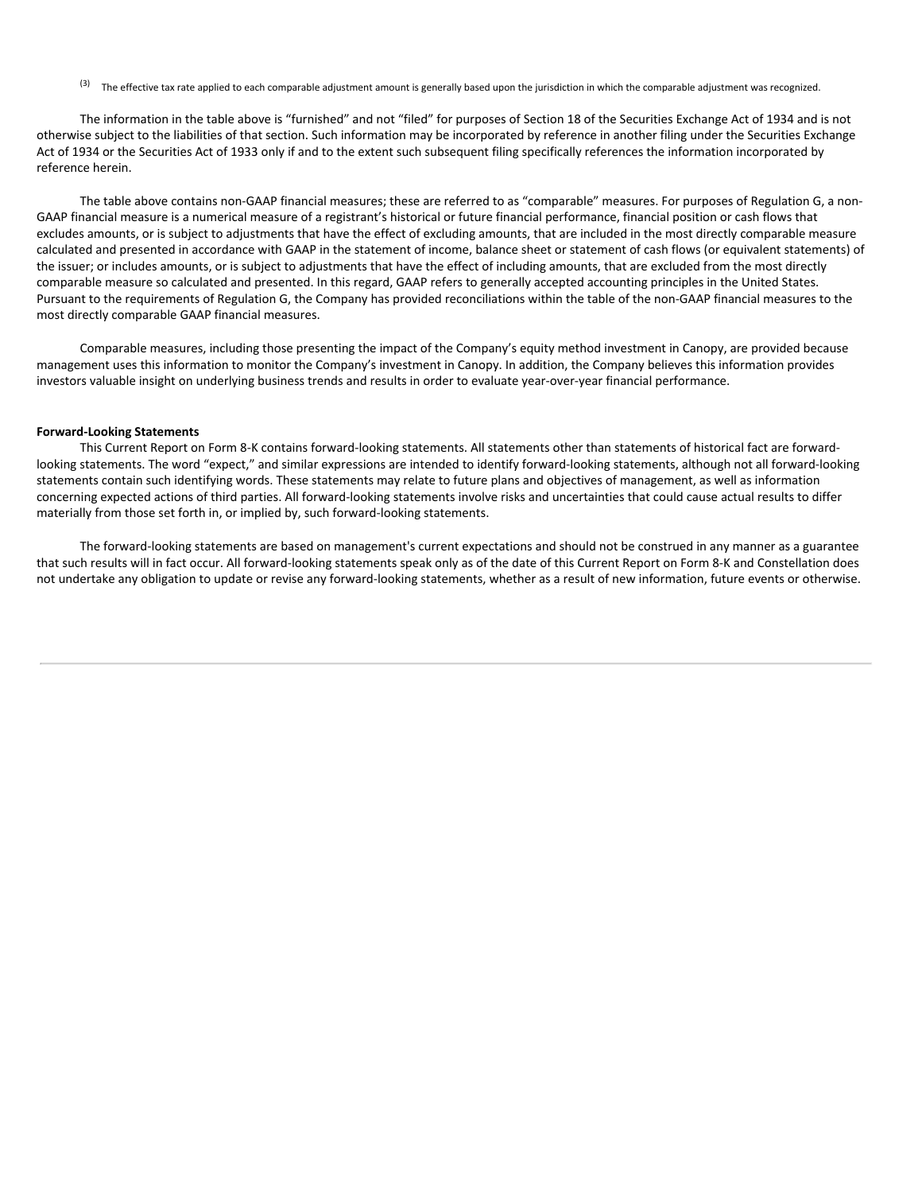$(3)$  The effective tax rate applied to each comparable adjustment amount is generally based upon the jurisdiction in which the comparable adjustment was recognized.

The information in the table above is "furnished" and not "filed" for purposes of Section 18 of the Securities Exchange Act of 1934 and is not otherwise subject to the liabilities of that section. Such information may be incorporated by reference in another filing under the Securities Exchange Act of 1934 or the Securities Act of 1933 only if and to the extent such subsequent filing specifically references the information incorporated by reference herein.

The table above contains non-GAAP financial measures; these are referred to as "comparable" measures. For purposes of Regulation G, a non-GAAP financial measure is a numerical measure of a registrant's historical or future financial performance, financial position or cash flows that excludes amounts, or is subject to adjustments that have the effect of excluding amounts, that are included in the most directly comparable measure calculated and presented in accordance with GAAP in the statement of income, balance sheet or statement of cash flows (or equivalent statements) of the issuer; or includes amounts, or is subject to adjustments that have the effect of including amounts, that are excluded from the most directly comparable measure so calculated and presented. In this regard, GAAP refers to generally accepted accounting principles in the United States. Pursuant to the requirements of Regulation G, the Company has provided reconciliations within the table of the non-GAAP financial measures to the most directly comparable GAAP financial measures.

Comparable measures, including those presenting the impact of the Company's equity method investment in Canopy, are provided because management uses this information to monitor the Company's investment in Canopy. In addition, the Company believes this information provides investors valuable insight on underlying business trends and results in order to evaluate year-over-year financial performance.

#### **Forward-Looking Statements**

This Current Report on Form 8-K contains forward-looking statements. All statements other than statements of historical fact are forwardlooking statements. The word "expect," and similar expressions are intended to identify forward-looking statements, although not all forward-looking statements contain such identifying words. These statements may relate to future plans and objectives of management, as well as information concerning expected actions of third parties. All forward-looking statements involve risks and uncertainties that could cause actual results to differ materially from those set forth in, or implied by, such forward-looking statements.

The forward-looking statements are based on management's current expectations and should not be construed in any manner as a guarantee that such results will in fact occur. All forward-looking statements speak only as of the date of this Current Report on Form 8-K and Constellation does not undertake any obligation to update or revise any forward-looking statements, whether as a result of new information, future events or otherwise.